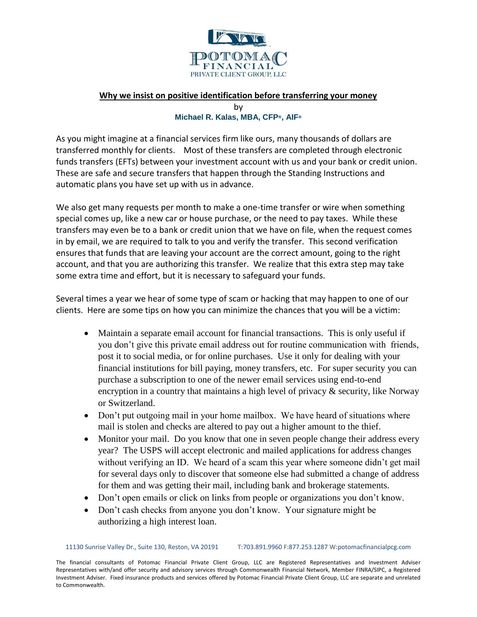

## **Why we insist on positive identification before transferring your money** by

## **Michael R. Kalas, MBA, CFP®, AIF®**

As you might imagine at a financial services firm like ours, many thousands of dollars are transferred monthly for clients. Most of these transfers are completed through electronic funds transfers (EFTs) between your investment account with us and your bank or credit union. These are safe and secure transfers that happen through the Standing Instructions and automatic plans you have set up with us in advance.

We also get many requests per month to make a one-time transfer or wire when something special comes up, like a new car or house purchase, or the need to pay taxes. While these transfers may even be to a bank or credit union that we have on file, when the request comes in by email, we are required to talk to you and verify the transfer. This second verification ensures that funds that are leaving your account are the correct amount, going to the right account, and that you are authorizing this transfer. We realize that this extra step may take some extra time and effort, but it is necessary to safeguard your funds.

Several times a year we hear of some type of scam or hacking that may happen to one of our clients. Here are some tips on how you can minimize the chances that you will be a victim:

- Maintain a separate email account for financial transactions. This is only useful if you don't give this private email address out for routine communication with friends, post it to social media, or for online purchases. Use it only for dealing with your financial institutions for bill paying, money transfers, etc. For super security you can purchase a subscription to one of the newer email services using end-to-end encryption in a country that maintains a high level of privacy & security, like Norway or Switzerland.
- Don't put outgoing mail in your home mailbox. We have heard of situations where mail is stolen and checks are altered to pay out a higher amount to the thief.
- Monitor your mail. Do you know that one in seven people change their address every year? The USPS will accept electronic and mailed applications for address changes without verifying an ID. We heard of a scam this year where someone didn't get mail for several days only to discover that someone else had submitted a change of address for them and was getting their mail, including bank and brokerage statements.
- Don't open emails or click on links from people or organizations you don't know.
- Don't cash checks from anyone you don't know. Your signature might be authorizing a high interest loan.

11130 Sunrise Valley Dr., Suite 130, Reston, VA 20191 **T:**703.891.9960 **F:**877.253.1287 **W:**potomacfinancialpcg.com

The financial consultants of Potomac Financial Private Client Group, LLC are Registered Representatives and Investment Adviser Representatives with/and offer security and advisory services through Commonwealth Financial Network, Member FINRA/SIPC, a Registered Investment Adviser. Fixed insurance products and services offered by Potomac Financial Private Client Group, LLC are separate and unrelated to Commonwealth.